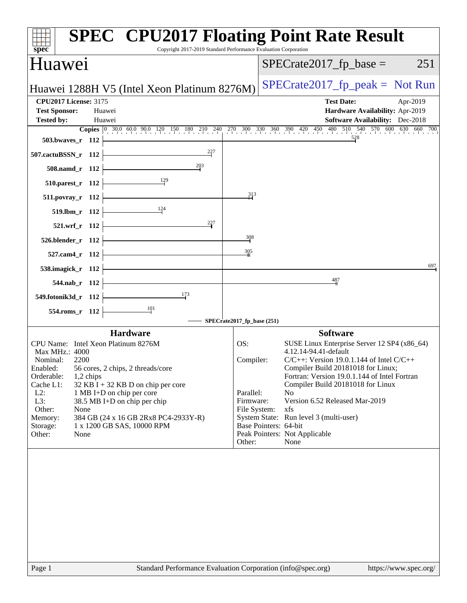| <b>SPEC<sup>®</sup> CPU2017 Floating Point Rate Result</b><br>Copyright 2017-2019 Standard Performance Evaluation Corporation<br>$spec^*$                                                                                                                                                                                                                                                                                                  |                                                                                                                                                                                                                                                                                                                                                                                                                                                                                 |
|--------------------------------------------------------------------------------------------------------------------------------------------------------------------------------------------------------------------------------------------------------------------------------------------------------------------------------------------------------------------------------------------------------------------------------------------|---------------------------------------------------------------------------------------------------------------------------------------------------------------------------------------------------------------------------------------------------------------------------------------------------------------------------------------------------------------------------------------------------------------------------------------------------------------------------------|
| Huawei                                                                                                                                                                                                                                                                                                                                                                                                                                     | $SPECrate2017_fp\_base =$<br>251                                                                                                                                                                                                                                                                                                                                                                                                                                                |
| Huawei 1288H V5 (Intel Xeon Platinum 8276M)                                                                                                                                                                                                                                                                                                                                                                                                | $SPECrate2017_fp\_peak = Not Run$                                                                                                                                                                                                                                                                                                                                                                                                                                               |
| <b>CPU2017 License: 3175</b><br><b>Test Sponsor:</b><br>Huawei<br><b>Tested by:</b><br>Huawei                                                                                                                                                                                                                                                                                                                                              | <b>Test Date:</b><br>Apr-2019<br>Hardware Availability: Apr-2019<br>Software Availability: Dec-2018<br><b>Copies</b> 0 30.0 60.0 90.0 120 150 180 210 240 270 300 330 360 390 420 450 480 510 540 570 600 630 660 700                                                                                                                                                                                                                                                           |
| 503.bwaves_r 112                                                                                                                                                                                                                                                                                                                                                                                                                           | 528                                                                                                                                                                                                                                                                                                                                                                                                                                                                             |
| $^{227}$<br>507.cactuBSSN_r 112<br>203<br>508.namd_r 112                                                                                                                                                                                                                                                                                                                                                                                   |                                                                                                                                                                                                                                                                                                                                                                                                                                                                                 |
| $\frac{129}{2}$<br>510.parest_r 112                                                                                                                                                                                                                                                                                                                                                                                                        |                                                                                                                                                                                                                                                                                                                                                                                                                                                                                 |
| $511. povray_r 112$                                                                                                                                                                                                                                                                                                                                                                                                                        | 313                                                                                                                                                                                                                                                                                                                                                                                                                                                                             |
| 124<br>519.lbm_r 112                                                                                                                                                                                                                                                                                                                                                                                                                       |                                                                                                                                                                                                                                                                                                                                                                                                                                                                                 |
| $^{227}$<br>521.wrf r 112                                                                                                                                                                                                                                                                                                                                                                                                                  |                                                                                                                                                                                                                                                                                                                                                                                                                                                                                 |
| 526.blender_r 112                                                                                                                                                                                                                                                                                                                                                                                                                          | 308                                                                                                                                                                                                                                                                                                                                                                                                                                                                             |
| 305<br>527.cam4_r 112                                                                                                                                                                                                                                                                                                                                                                                                                      |                                                                                                                                                                                                                                                                                                                                                                                                                                                                                 |
| 538.imagick_r 112                                                                                                                                                                                                                                                                                                                                                                                                                          | 697                                                                                                                                                                                                                                                                                                                                                                                                                                                                             |
| 544.nab_r 112                                                                                                                                                                                                                                                                                                                                                                                                                              | 487                                                                                                                                                                                                                                                                                                                                                                                                                                                                             |
| <u>173</u><br>549.fotonik3d_r 112                                                                                                                                                                                                                                                                                                                                                                                                          |                                                                                                                                                                                                                                                                                                                                                                                                                                                                                 |
| $\frac{101}{2}$<br>554.roms_r 112<br>SPECrate2017_fp_base (251)                                                                                                                                                                                                                                                                                                                                                                            |                                                                                                                                                                                                                                                                                                                                                                                                                                                                                 |
| <b>Hardware</b>                                                                                                                                                                                                                                                                                                                                                                                                                            | <b>Software</b>                                                                                                                                                                                                                                                                                                                                                                                                                                                                 |
| CPU Name: Intel Xeon Platinum 8276M<br>OS:<br>Max MHz.: 4000<br>Nominal:<br>2200<br>56 cores, 2 chips, 2 threads/core<br>Enabled:<br>Orderable:<br>1,2 chips<br>Cache L1:<br>$32$ KB I + 32 KB D on chip per core<br>$L2$ :<br>1 MB I+D on chip per core<br>L3:<br>38.5 MB I+D on chip per chip<br>Other:<br>None<br>Memory:<br>384 GB (24 x 16 GB 2Rx8 PC4-2933Y-R)<br>Storage:<br>1 x 1200 GB SAS, 10000 RPM<br>Other:<br>None<br>Other: | SUSE Linux Enterprise Server 12 SP4 (x86_64)<br>4.12.14-94.41-default<br>$C/C++$ : Version 19.0.1.144 of Intel $C/C++$<br>Compiler:<br>Compiler Build 20181018 for Linux;<br>Fortran: Version 19.0.1.144 of Intel Fortran<br>Compiler Build 20181018 for Linux<br>Parallel:<br>N <sub>o</sub><br>Version 6.52 Released Mar-2019<br>Firmware:<br>File System:<br>xfs<br>System State: Run level 3 (multi-user)<br>Base Pointers: 64-bit<br>Peak Pointers: Not Applicable<br>None |
|                                                                                                                                                                                                                                                                                                                                                                                                                                            |                                                                                                                                                                                                                                                                                                                                                                                                                                                                                 |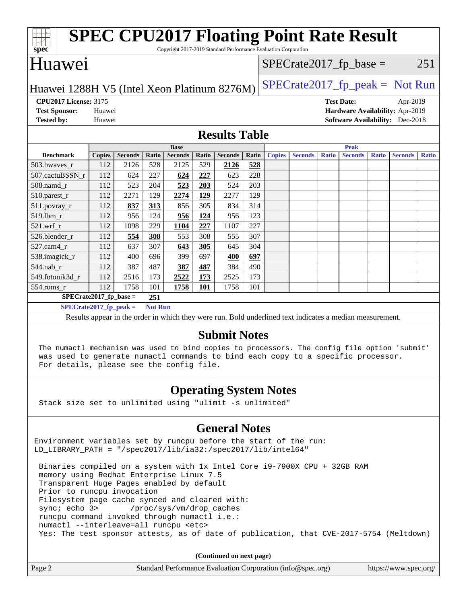| spec <sup>®</sup>                                                                                                                                                                                                                                   |                              |               |                |                |                               |            | <b>SPEC CPU2017 Floating Point Rate Result</b>                                                           |       |               |                |              |                               |              |                                        |              |
|-----------------------------------------------------------------------------------------------------------------------------------------------------------------------------------------------------------------------------------------------------|------------------------------|---------------|----------------|----------------|-------------------------------|------------|----------------------------------------------------------------------------------------------------------|-------|---------------|----------------|--------------|-------------------------------|--------------|----------------------------------------|--------------|
| Copyright 2017-2019 Standard Performance Evaluation Corporation<br>Huawei<br>$SPECrate2017_fp\_base =$<br>251                                                                                                                                       |                              |               |                |                |                               |            |                                                                                                          |       |               |                |              |                               |              |                                        |              |
| $SPECrate2017_fp\_peak = Not Run$<br>Huawei 1288H V5 (Intel Xeon Platinum 8276M)                                                                                                                                                                    |                              |               |                |                |                               |            |                                                                                                          |       |               |                |              |                               |              |                                        |              |
|                                                                                                                                                                                                                                                     | <b>CPU2017 License: 3175</b> |               |                |                |                               |            |                                                                                                          |       |               |                |              | <b>Test Date:</b>             |              | Apr-2019                               |              |
| <b>Test Sponsor:</b>                                                                                                                                                                                                                                |                              | Huawei        |                |                |                               |            |                                                                                                          |       |               |                |              |                               |              | Hardware Availability: Apr-2019        |              |
| <b>Tested by:</b>                                                                                                                                                                                                                                   |                              | Huawei        |                |                |                               |            |                                                                                                          |       |               |                |              |                               |              | <b>Software Availability:</b> Dec-2018 |              |
|                                                                                                                                                                                                                                                     | <b>Results Table</b>         |               |                |                |                               |            |                                                                                                          |       |               |                |              |                               |              |                                        |              |
|                                                                                                                                                                                                                                                     | <b>Benchmark</b>             | <b>Copies</b> | <b>Seconds</b> | Ratio          | <b>Base</b><br><b>Seconds</b> | Ratio      | <b>Seconds</b>                                                                                           | Ratio | <b>Copies</b> | <b>Seconds</b> | <b>Ratio</b> | <b>Peak</b><br><b>Seconds</b> | <b>Ratio</b> | <b>Seconds</b>                         | <b>Ratio</b> |
| 503.bwayes_r                                                                                                                                                                                                                                        |                              | 112           | 2126           | 528            | 2125                          | 529        | 2126                                                                                                     | 528   |               |                |              |                               |              |                                        |              |
|                                                                                                                                                                                                                                                     | 507.cactuBSSN_r              | 112           | 624            | 227            | 624                           | 227        | 623                                                                                                      | 228   |               |                |              |                               |              |                                        |              |
| 508.namd_r                                                                                                                                                                                                                                          |                              | 112           | 523            | 204            | 523                           | 203        | 524                                                                                                      | 203   |               |                |              |                               |              |                                        |              |
| 510.parest_r                                                                                                                                                                                                                                        |                              | 112           | 2271           | 129            | 2274                          | 129        | 2277                                                                                                     | 129   |               |                |              |                               |              |                                        |              |
| $511.povray_r$                                                                                                                                                                                                                                      |                              | 112           | 837            | 313            | 856                           | 305        | 834                                                                                                      | 314   |               |                |              |                               |              |                                        |              |
| 519.1bm_r                                                                                                                                                                                                                                           |                              | 112           | 956            | 124            | 956                           | <u>124</u> | 956                                                                                                      | 123   |               |                |              |                               |              |                                        |              |
| $521.wrf_r$                                                                                                                                                                                                                                         |                              | 112           | 1098           | 229            | 1104                          | 227        | 1107                                                                                                     | 227   |               |                |              |                               |              |                                        |              |
| 526.blender_r                                                                                                                                                                                                                                       |                              | 112           | 554            | 308            | 553                           | 308        | 555                                                                                                      | 307   |               |                |              |                               |              |                                        |              |
| 527.cam4_r                                                                                                                                                                                                                                          |                              | 112           | 637            | 307            | 643                           | 305        | 645                                                                                                      | 304   |               |                |              |                               |              |                                        |              |
| 538.imagick_r                                                                                                                                                                                                                                       |                              | 112           | 400            | 696            | 399                           | 697        | 400                                                                                                      | 697   |               |                |              |                               |              |                                        |              |
| $544$ .nab_r                                                                                                                                                                                                                                        |                              | 112           | 387            | 487            | 387                           | 487        | 384                                                                                                      | 490   |               |                |              |                               |              |                                        |              |
| 549.fotonik3d_r                                                                                                                                                                                                                                     |                              | 112           | 2516           | 173            | 2522                          | 173        | 2525                                                                                                     | 173   |               |                |              |                               |              |                                        |              |
| $554$ .roms_r                                                                                                                                                                                                                                       |                              | 112           | 1758           | 101            | 1758                          | <b>101</b> | 1758                                                                                                     | 101   |               |                |              |                               |              |                                        |              |
|                                                                                                                                                                                                                                                     | $SPECrate2017_fp\_base =$    |               |                | 251            |                               |            |                                                                                                          |       |               |                |              |                               |              |                                        |              |
|                                                                                                                                                                                                                                                     | $SPECrate2017_fp\_peak =$    |               |                | <b>Not Run</b> |                               |            |                                                                                                          |       |               |                |              |                               |              |                                        |              |
|                                                                                                                                                                                                                                                     |                              |               |                |                |                               |            | Results appear in the order in which they were run. Bold underlined text indicates a median measurement. |       |               |                |              |                               |              |                                        |              |
| <b>Submit Notes</b><br>The numactl mechanism was used to bind copies to processors. The config file option 'submit'<br>was used to generate numactl commands to bind each copy to a specific processor.<br>For details, please see the config file. |                              |               |                |                |                               |            |                                                                                                          |       |               |                |              |                               |              |                                        |              |
| <b>Operating System Notes</b><br>Stack size set to unlimited using "ulimit -s unlimited"                                                                                                                                                            |                              |               |                |                |                               |            |                                                                                                          |       |               |                |              |                               |              |                                        |              |
| <b>General Notes</b><br>Environment variables set by runcpu before the start of the run:<br>LD_LIBRARY_PATH = "/spec2017/lib/ia32:/spec2017/lib/intel64"                                                                                            |                              |               |                |                |                               |            |                                                                                                          |       |               |                |              |                               |              |                                        |              |
| Binaries compiled on a system with 1x Intel Core i9-7900X CPU + 32GB RAM<br>memory using Redhat Enterprise Linux 7.5<br>Transparent Huge Pages enabled by default<br>Prior to runcpu invocation<br>Filesystem page cache synced and cleared with:   |                              |               |                |                |                               |            |                                                                                                          |       |               |                |              |                               |              |                                        |              |

sync; echo 3> /proc/sys/vm/drop\_caches runcpu command invoked through numactl i.e.:

numactl --interleave=all runcpu <etc>

Yes: The test sponsor attests, as of date of publication, that CVE-2017-5754 (Meltdown)

**(Continued on next page)**

| Page 2 | Standard Performance Evaluation Corporation (info@spec.org) | https://www.spec.org/ |
|--------|-------------------------------------------------------------|-----------------------|
|        |                                                             |                       |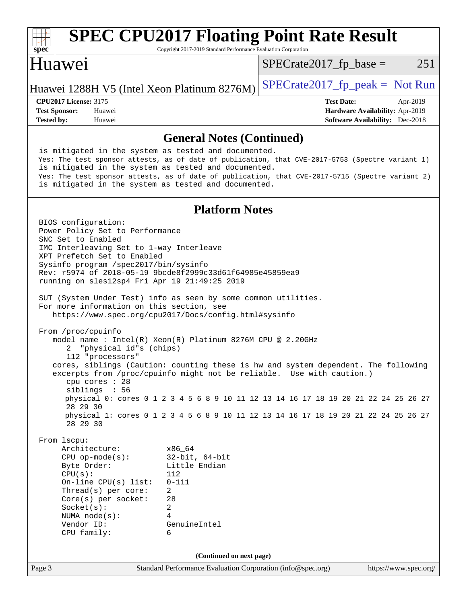| spec <sup>®</sup>                                                                                                                                                                                                                                                                                                                                                                                                                                                                                                                                                                                                                                                                                                                                                                                                                                                                                                                                                                                                                                                                                                                                                                                                                         | Copyright 2017-2019 Standard Performance Evaluation Corporation                                                       | <b>SPEC CPU2017 Floating Point Rate Result</b> |                                             |
|-------------------------------------------------------------------------------------------------------------------------------------------------------------------------------------------------------------------------------------------------------------------------------------------------------------------------------------------------------------------------------------------------------------------------------------------------------------------------------------------------------------------------------------------------------------------------------------------------------------------------------------------------------------------------------------------------------------------------------------------------------------------------------------------------------------------------------------------------------------------------------------------------------------------------------------------------------------------------------------------------------------------------------------------------------------------------------------------------------------------------------------------------------------------------------------------------------------------------------------------|-----------------------------------------------------------------------------------------------------------------------|------------------------------------------------|---------------------------------------------|
| Huawei                                                                                                                                                                                                                                                                                                                                                                                                                                                                                                                                                                                                                                                                                                                                                                                                                                                                                                                                                                                                                                                                                                                                                                                                                                    |                                                                                                                       | $SPECrate2017fr base =$                        | 251                                         |
| Huawei 1288H V5 (Intel Xeon Platinum 8276M)                                                                                                                                                                                                                                                                                                                                                                                                                                                                                                                                                                                                                                                                                                                                                                                                                                                                                                                                                                                                                                                                                                                                                                                               |                                                                                                                       | $SPECrate2017fr peak = Not Run$                |                                             |
| <b>CPU2017 License: 3175</b><br><b>Test Sponsor:</b><br>Huawei                                                                                                                                                                                                                                                                                                                                                                                                                                                                                                                                                                                                                                                                                                                                                                                                                                                                                                                                                                                                                                                                                                                                                                            |                                                                                                                       | <b>Test Date:</b>                              | Apr-2019<br>Hardware Availability: Apr-2019 |
| <b>Tested by:</b><br>Huawei                                                                                                                                                                                                                                                                                                                                                                                                                                                                                                                                                                                                                                                                                                                                                                                                                                                                                                                                                                                                                                                                                                                                                                                                               |                                                                                                                       |                                                | <b>Software Availability:</b> Dec-2018      |
|                                                                                                                                                                                                                                                                                                                                                                                                                                                                                                                                                                                                                                                                                                                                                                                                                                                                                                                                                                                                                                                                                                                                                                                                                                           | <b>General Notes (Continued)</b>                                                                                      |                                                |                                             |
| is mitigated in the system as tested and documented.<br>Yes: The test sponsor attests, as of date of publication, that CVE-2017-5753 (Spectre variant 1)<br>is mitigated in the system as tested and documented.<br>Yes: The test sponsor attests, as of date of publication, that CVE-2017-5715 (Spectre variant 2)<br>is mitigated in the system as tested and documented.                                                                                                                                                                                                                                                                                                                                                                                                                                                                                                                                                                                                                                                                                                                                                                                                                                                              |                                                                                                                       |                                                |                                             |
|                                                                                                                                                                                                                                                                                                                                                                                                                                                                                                                                                                                                                                                                                                                                                                                                                                                                                                                                                                                                                                                                                                                                                                                                                                           | <b>Platform Notes</b>                                                                                                 |                                                |                                             |
| BIOS configuration:<br>Power Policy Set to Performance<br>SNC Set to Enabled<br>IMC Interleaving Set to 1-way Interleave<br>XPT Prefetch Set to Enabled<br>Sysinfo program /spec2017/bin/sysinfo<br>Rev: r5974 of 2018-05-19 9bcde8f2999c33d61f64985e45859ea9<br>running on sles12sp4 Fri Apr 19 21:49:25 2019<br>SUT (System Under Test) info as seen by some common utilities.<br>For more information on this section, see<br>https://www.spec.org/cpu2017/Docs/config.html#sysinfo<br>From /proc/cpuinfo<br>model name : Intel(R) Xeon(R) Platinum 8276M CPU @ 2.20GHz<br>"physical id"s (chips)<br>2<br>112 "processors"<br>cores, siblings (Caution: counting these is hw and system dependent. The following<br>excerpts from /proc/cpuinfo might not be reliable. Use with caution.)<br>cpu cores : 28<br>siblings : 56<br>physical 0: cores 0 1 2 3 4 5 6 8 9 10 11 12 13 14 16 17 18 19 20 21 22 24 25 26 27<br>28 29 30<br>physical 1: cores 0 1 2 3 4 5 6 8 9 10 11 12 13 14 16 17 18 19 20 21 22 24 25 26 27<br>28 29 30<br>From lscpu:<br>Architecture:<br>$CPU$ op-mode(s):<br>Byte Order:<br>CPU(s):<br>On-line $CPU(s)$ list:<br>Thread(s) per core:<br>Core(s) per socket:<br>Socket(s):<br>NUMA node(s):<br>Vendor ID: | x86_64<br>$32$ -bit, $64$ -bit<br>Little Endian<br>112<br>$0 - 111$<br>$\overline{a}$<br>28<br>2<br>4<br>GenuineIntel |                                                |                                             |
| CPU family:                                                                                                                                                                                                                                                                                                                                                                                                                                                                                                                                                                                                                                                                                                                                                                                                                                                                                                                                                                                                                                                                                                                                                                                                                               | 6                                                                                                                     |                                                |                                             |
| Page 3                                                                                                                                                                                                                                                                                                                                                                                                                                                                                                                                                                                                                                                                                                                                                                                                                                                                                                                                                                                                                                                                                                                                                                                                                                    | (Continued on next page)<br>Standard Performance Evaluation Corporation (info@spec.org)                               |                                                | https://www.spec.org/                       |
|                                                                                                                                                                                                                                                                                                                                                                                                                                                                                                                                                                                                                                                                                                                                                                                                                                                                                                                                                                                                                                                                                                                                                                                                                                           |                                                                                                                       |                                                |                                             |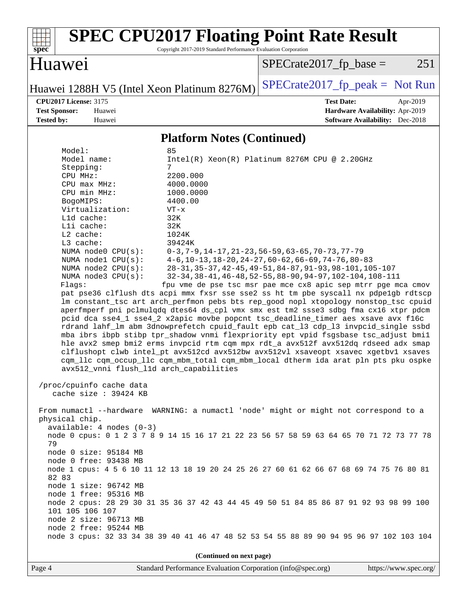

# **[SPEC CPU2017 Floating Point Rate Result](http://www.spec.org/auto/cpu2017/Docs/result-fields.html#SPECCPU2017FloatingPointRateResult)**

Copyright 2017-2019 Standard Performance Evaluation Corporation

## Huawei

 $SPECTate2017_fp\_base = 251$ 

Huawei 1288H V5 (Intel Xeon Platinum 8276M) SPECrate  $2017$  fp peak = Not Run

**[Tested by:](http://www.spec.org/auto/cpu2017/Docs/result-fields.html#Testedby)** Huawei **[Software Availability:](http://www.spec.org/auto/cpu2017/Docs/result-fields.html#SoftwareAvailability)** Dec-2018

**[CPU2017 License:](http://www.spec.org/auto/cpu2017/Docs/result-fields.html#CPU2017License)** 3175 **[Test Date:](http://www.spec.org/auto/cpu2017/Docs/result-fields.html#TestDate)** Apr-2019 **[Test Sponsor:](http://www.spec.org/auto/cpu2017/Docs/result-fields.html#TestSponsor)** Huawei **[Hardware Availability:](http://www.spec.org/auto/cpu2017/Docs/result-fields.html#HardwareAvailability)** Apr-2019

#### **[Platform Notes \(Continued\)](http://www.spec.org/auto/cpu2017/Docs/result-fields.html#PlatformNotes)**

| Model:                                  | 85                                                                                   |
|-----------------------------------------|--------------------------------------------------------------------------------------|
| Model name:                             | Intel(R) Xeon(R) Platinum 8276M CPU @ $2.20$ GHz                                     |
| Stepping:                               | 7                                                                                    |
| CPU MHz:                                | 2200.000                                                                             |
| $CPU$ max $MHz$ :                       | 4000.0000                                                                            |
| CPU min MHz:                            | 1000.0000                                                                            |
| BogoMIPS:                               | 4400.00                                                                              |
| Virtualization:                         | $VT - x$                                                                             |
| L1d cache:                              | 32K                                                                                  |
| Lli cache:                              | 32K                                                                                  |
| $L2$ cache:                             | 1024K                                                                                |
| $L3$ cache:                             | 39424K                                                                               |
| NUMA $node0$ $CPU(s)$ :                 | $0-3, 7-9, 14-17, 21-23, 56-59, 63-65, 70-73, 77-79$                                 |
| NUMA nodel $CPU(s):$                    | $4-6$ , 10-13, 18-20, 24-27, 60-62, 66-69, 74-76, 80-83                              |
| NUMA $node2$ $CPU(s)$ :                 | 28-31, 35-37, 42-45, 49-51, 84-87, 91-93, 98-101, 105-107                            |
| NUMA node3 CPU(s):                      | 32-34, 38-41, 46-48, 52-55, 88-90, 94-97, 102-104, 108-111                           |
| Flaqs:                                  | fpu vme de pse tsc msr pae mce cx8 apic sep mtrr pge mca cmov                        |
|                                         | pat pse36 clflush dts acpi mmx fxsr sse sse2 ss ht tm pbe syscall nx pdpelgb rdtscp  |
|                                         | lm constant_tsc art arch_perfmon pebs bts rep_good nopl xtopology nonstop_tsc cpuid  |
|                                         | aperfmperf pni pclmulqdq dtes64 ds_cpl vmx smx est tm2 ssse3 sdbg fma cx16 xtpr pdcm |
|                                         | pcid dca sse4_1 sse4_2 x2apic movbe popcnt tsc_deadline_timer aes xsave avx f16c     |
|                                         | rdrand lahf_lm abm 3dnowprefetch cpuid_fault epb cat_13 cdp_13 invpcid_single ssbd   |
|                                         | mba ibrs ibpb stibp tpr_shadow vnmi flexpriority ept vpid fsgsbase tsc_adjust bmil   |
|                                         | hle avx2 smep bmi2 erms invpcid rtm cqm mpx rdt_a avx512f avx512dq rdseed adx smap   |
|                                         | clflushopt clwb intel_pt avx512cd avx512bw avx512vl xsaveopt xsavec xgetbvl xsaves   |
|                                         | cqm_llc cqm_occup_llc cqm_mbm_total cqm_mbm_local dtherm ida arat pln pts pku ospke  |
| avx512_vnni flush_11d arch_capabilities |                                                                                      |
|                                         |                                                                                      |
| /proc/cpuinfo cache data                |                                                                                      |
| cache size: 39424 KB                    |                                                                                      |
|                                         |                                                                                      |
|                                         | From numactl --hardware WARNING: a numactl 'node' might or might not correspond to a |
| physical chip.                          |                                                                                      |
| $available: 4 nodes (0-3)$              |                                                                                      |

 node 0 cpus: 0 1 2 3 7 8 9 14 15 16 17 21 22 23 56 57 58 59 63 64 65 70 71 72 73 77 78 79 node 0 size: 95184 MB

node 0 free: 93438 MB

 node 1 cpus: 4 5 6 10 11 12 13 18 19 20 24 25 26 27 60 61 62 66 67 68 69 74 75 76 80 81 82 83

 node 1 size: 96742 MB node 1 free: 95316 MB

node 2 free: 95244 MB

 node 2 cpus: 28 29 30 31 35 36 37 42 43 44 45 49 50 51 84 85 86 87 91 92 93 98 99 100 101 105 106 107 node 2 size: 96713 MB

node 3 cpus: 32 33 34 38 39 40 41 46 47 48 52 53 54 55 88 89 90 94 95 96 97 102 103 104

**(Continued on next page)**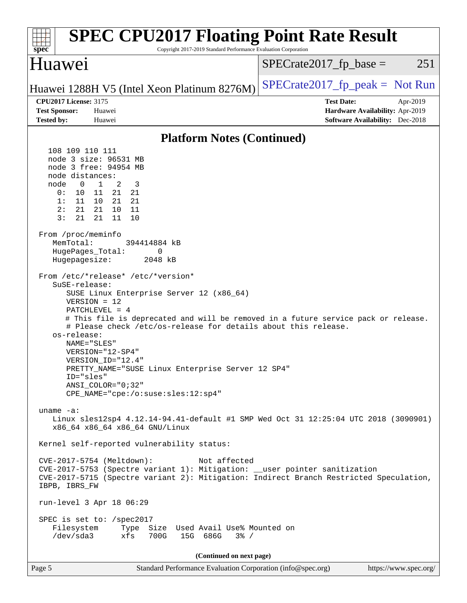| <b>SPEC CPU2017 Floating Point Rate Result</b><br>spec <sup>®</sup><br>Copyright 2017-2019 Standard Performance Evaluation Corporation                                                                                                                                                                                                                                                                                                                                                                                                                                                                                                                                                                                                                                                                                                                                                                                                                                                                                                                                                                                                                                                                                                                                                                |                                                                                                            |
|-------------------------------------------------------------------------------------------------------------------------------------------------------------------------------------------------------------------------------------------------------------------------------------------------------------------------------------------------------------------------------------------------------------------------------------------------------------------------------------------------------------------------------------------------------------------------------------------------------------------------------------------------------------------------------------------------------------------------------------------------------------------------------------------------------------------------------------------------------------------------------------------------------------------------------------------------------------------------------------------------------------------------------------------------------------------------------------------------------------------------------------------------------------------------------------------------------------------------------------------------------------------------------------------------------|------------------------------------------------------------------------------------------------------------|
| Huawei                                                                                                                                                                                                                                                                                                                                                                                                                                                                                                                                                                                                                                                                                                                                                                                                                                                                                                                                                                                                                                                                                                                                                                                                                                                                                                | $SPECrate2017_fp\_base =$<br>251                                                                           |
| Huawei 1288H V5 (Intel Xeon Platinum 8276M)                                                                                                                                                                                                                                                                                                                                                                                                                                                                                                                                                                                                                                                                                                                                                                                                                                                                                                                                                                                                                                                                                                                                                                                                                                                           | $SPECTate2017_fp\_peak = Not Run$                                                                          |
| <b>CPU2017 License: 3175</b><br><b>Test Sponsor:</b><br>Huawei<br><b>Tested by:</b><br>Huawei                                                                                                                                                                                                                                                                                                                                                                                                                                                                                                                                                                                                                                                                                                                                                                                                                                                                                                                                                                                                                                                                                                                                                                                                         | <b>Test Date:</b><br>Apr-2019<br>Hardware Availability: Apr-2019<br><b>Software Availability:</b> Dec-2018 |
| <b>Platform Notes (Continued)</b>                                                                                                                                                                                                                                                                                                                                                                                                                                                                                                                                                                                                                                                                                                                                                                                                                                                                                                                                                                                                                                                                                                                                                                                                                                                                     |                                                                                                            |
| 108 109 110 111<br>node 3 size: 96531 MB<br>node 3 free: 94954 MB<br>node distances:<br>node<br>0<br>$\mathbf{1}$<br>2<br>3<br>0:<br>21<br>21<br>10<br>11<br>1:<br>11<br>10<br>21<br>21<br>2:<br>21<br>21<br>10<br>- 11<br>3:<br>21<br>11<br>21<br>10<br>From /proc/meminfo<br>MemTotal:<br>394414884 kB<br>HugePages_Total:<br>0<br>Hugepagesize:<br>2048 kB<br>From /etc/*release* /etc/*version*<br>SuSE-release:<br>SUSE Linux Enterprise Server 12 (x86_64)<br>$VERSION = 12$<br>PATCHLEVEL = $4$<br># This file is deprecated and will be removed in a future service pack or release.<br># Please check /etc/os-release for details about this release.<br>os-release:<br>NAME="SLES"<br>VERSION="12-SP4"<br>VERSION ID="12.4"<br>PRETTY_NAME="SUSE Linux Enterprise Server 12 SP4"<br>ID="sles"<br>$ANSI\_COLOR = "0; 32"$<br>CPE_NAME="cpe:/o:suse:sles:12:sp4"<br>uname $-a$ :<br>Linux sles12sp4 4.12.14-94.41-default #1 SMP Wed Oct 31 12:25:04 UTC 2018 (3090901)<br>x86_64 x86_64 x86_64 GNU/Linux<br>Kernel self-reported vulnerability status:<br>CVE-2017-5754 (Meltdown):<br>Not affected<br>CVE-2017-5753 (Spectre variant 1): Mitigation: __user pointer sanitization<br>CVE-2017-5715 (Spectre variant 2): Mitigation: Indirect Branch Restricted Speculation,<br>IBPB, IBRS_FW |                                                                                                            |
| run-level 3 Apr 18 06:29<br>SPEC is set to: /spec2017<br>Filesystem Type Size Used Avail Use% Mounted on<br>/dev/sda3<br>xfs<br>700G<br>15G 686G<br>$3\frac{6}{6}$ /                                                                                                                                                                                                                                                                                                                                                                                                                                                                                                                                                                                                                                                                                                                                                                                                                                                                                                                                                                                                                                                                                                                                  |                                                                                                            |
| (Continued on next page)                                                                                                                                                                                                                                                                                                                                                                                                                                                                                                                                                                                                                                                                                                                                                                                                                                                                                                                                                                                                                                                                                                                                                                                                                                                                              |                                                                                                            |
| Standard Performance Evaluation Corporation (info@spec.org)<br>Page 5                                                                                                                                                                                                                                                                                                                                                                                                                                                                                                                                                                                                                                                                                                                                                                                                                                                                                                                                                                                                                                                                                                                                                                                                                                 | https://www.spec.org/                                                                                      |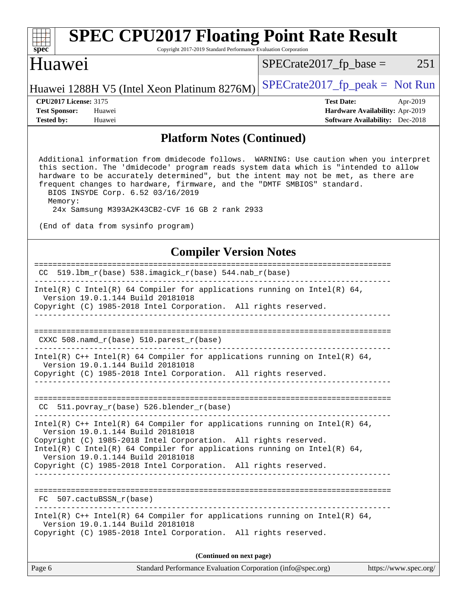| <b>SPEC CPU2017 Floating Point Rate Result</b><br>Copyright 2017-2019 Standard Performance Evaluation Corporation<br>spec <sup>®</sup>                                                                                                                                                                                                                                                                                                                                                 |                                                                                                            |
|----------------------------------------------------------------------------------------------------------------------------------------------------------------------------------------------------------------------------------------------------------------------------------------------------------------------------------------------------------------------------------------------------------------------------------------------------------------------------------------|------------------------------------------------------------------------------------------------------------|
| Huawei                                                                                                                                                                                                                                                                                                                                                                                                                                                                                 | 251<br>$SPECrate2017fr base =$                                                                             |
| Huawei 1288H V5 (Intel Xeon Platinum 8276M)                                                                                                                                                                                                                                                                                                                                                                                                                                            | $SPECrate2017_fp\_peak = Not Run$                                                                          |
| <b>CPU2017 License: 3175</b><br><b>Test Sponsor:</b><br>Huawei<br><b>Tested by:</b><br>Huawei                                                                                                                                                                                                                                                                                                                                                                                          | <b>Test Date:</b><br>Apr-2019<br>Hardware Availability: Apr-2019<br><b>Software Availability:</b> Dec-2018 |
| <b>Platform Notes (Continued)</b>                                                                                                                                                                                                                                                                                                                                                                                                                                                      |                                                                                                            |
| Additional information from dmidecode follows. WARNING: Use caution when you interpret<br>this section. The 'dmidecode' program reads system data which is "intended to allow<br>hardware to be accurately determined", but the intent may not be met, as there are<br>frequent changes to hardware, firmware, and the "DMTF SMBIOS" standard.<br>BIOS INSYDE Corp. 6.52 03/16/2019<br>Memory:<br>24x Samsung M393A2K43CB2-CVF 16 GB 2 rank 2933<br>(End of data from sysinfo program) |                                                                                                            |
| <b>Compiler Version Notes</b>                                                                                                                                                                                                                                                                                                                                                                                                                                                          |                                                                                                            |
| ===============================<br>CC 519.1bm_r(base) 538.imagick_r(base) 544.nab_r(base)                                                                                                                                                                                                                                                                                                                                                                                              |                                                                                                            |
| Intel(R) C Intel(R) 64 Compiler for applications running on Intel(R) 64,<br>Version 19.0.1.144 Build 20181018<br>Copyright (C) 1985-2018 Intel Corporation. All rights reserved.<br>$CXXC 508.namd_r(base) 510.parest_r(base)$                                                                                                                                                                                                                                                         |                                                                                                            |
| Intel(R) $C++$ Intel(R) 64 Compiler for applications running on Intel(R) 64,<br>Version 19.0.1.144 Build 20181018<br>Copyright (C) 1985-2018 Intel Corporation. All rights reserved.<br>________________________________                                                                                                                                                                                                                                                               |                                                                                                            |
| CC 511.povray_r(base) 526.blender_r(base)                                                                                                                                                                                                                                                                                                                                                                                                                                              |                                                                                                            |
| Intel(R) $C++$ Intel(R) 64 Compiler for applications running on Intel(R) 64,<br>Version 19.0.1.144 Build 20181018<br>Copyright (C) 1985-2018 Intel Corporation. All rights reserved.<br>Intel(R) C Intel(R) 64 Compiler for applications running on Intel(R) 64,<br>Version 19.0.1.144 Build 20181018<br>Copyright (C) 1985-2018 Intel Corporation. All rights reserved.                                                                                                               |                                                                                                            |
| FC 507.cactuBSSN_r(base)                                                                                                                                                                                                                                                                                                                                                                                                                                                               |                                                                                                            |
| Intel(R) $C++$ Intel(R) 64 Compiler for applications running on Intel(R) 64,<br>Version 19.0.1.144 Build 20181018<br>Copyright (C) 1985-2018 Intel Corporation. All rights reserved.                                                                                                                                                                                                                                                                                                   |                                                                                                            |
| (Continued on next page)                                                                                                                                                                                                                                                                                                                                                                                                                                                               |                                                                                                            |
| Page 6<br>Standard Performance Evaluation Corporation (info@spec.org)                                                                                                                                                                                                                                                                                                                                                                                                                  | https://www.spec.org/                                                                                      |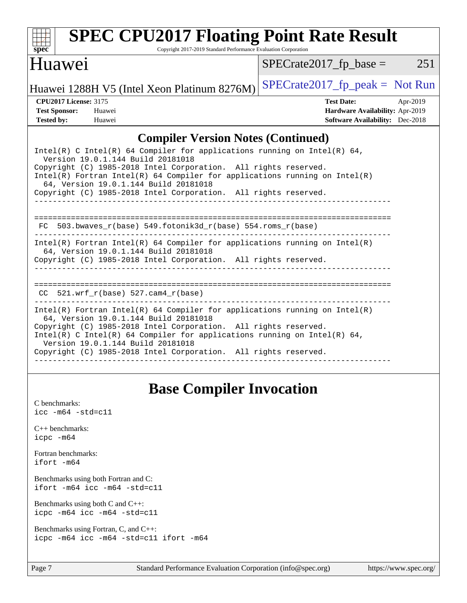

# **[SPEC CPU2017 Floating Point Rate Result](http://www.spec.org/auto/cpu2017/Docs/result-fields.html#SPECCPU2017FloatingPointRateResult)**

Copyright 2017-2019 Standard Performance Evaluation Corporation

### Huawei

 $SPECrate2017_fp\_base = 251$ 

Huawei 1288H V5 (Intel Xeon Platinum 8276M) SPECrate  $2017$  fp peak = Not Run

**[CPU2017 License:](http://www.spec.org/auto/cpu2017/Docs/result-fields.html#CPU2017License)** 3175 **[Test Date:](http://www.spec.org/auto/cpu2017/Docs/result-fields.html#TestDate)** Apr-2019 **[Test Sponsor:](http://www.spec.org/auto/cpu2017/Docs/result-fields.html#TestSponsor)** Huawei **[Hardware Availability:](http://www.spec.org/auto/cpu2017/Docs/result-fields.html#HardwareAvailability)** Apr-2019 **[Tested by:](http://www.spec.org/auto/cpu2017/Docs/result-fields.html#Testedby)** Huawei **[Software Availability:](http://www.spec.org/auto/cpu2017/Docs/result-fields.html#SoftwareAvailability)** Dec-2018

### **[Compiler Version Notes \(Continued\)](http://www.spec.org/auto/cpu2017/Docs/result-fields.html#CompilerVersionNotes)**

| Intel(R) C Intel(R) 64 Compiler for applications running on Intel(R) 64,<br>Version 19.0.1.144 Build 20181018<br>Copyright (C) 1985-2018 Intel Corporation. All rights reserved.<br>Intel(R) Fortran Intel(R) 64 Compiler for applications running on Intel(R)<br>64, Version 19.0.1.144 Build 20181018<br>Copyright (C) 1985-2018 Intel Corporation. All rights reserved. |
|----------------------------------------------------------------------------------------------------------------------------------------------------------------------------------------------------------------------------------------------------------------------------------------------------------------------------------------------------------------------------|
| FC 503.bwaves $r(base)$ 549.fotonik3d $r(base)$ 554.roms $r(base)$                                                                                                                                                                                                                                                                                                         |
| Intel(R) Fortran Intel(R) 64 Compiler for applications running on Intel(R)<br>64, Version 19.0.1.144 Build 20181018<br>Copyright (C) 1985-2018 Intel Corporation. All rights reserved.                                                                                                                                                                                     |
| $CC$ 521.wrf $r(base)$ 527.cam4 $r(base)$                                                                                                                                                                                                                                                                                                                                  |
| Intel(R) Fortran Intel(R) 64 Compiler for applications running on Intel(R)<br>64, Version 19.0.1.144 Build 20181018<br>Copyright (C) 1985-2018 Intel Corporation. All rights reserved.<br>Intel(R) C Intel(R) 64 Compiler for applications running on Intel(R) 64,<br>Version 19.0.1.144 Build 20181018<br>Copyright (C) 1985-2018 Intel Corporation. All rights reserved. |

# **[Base Compiler Invocation](http://www.spec.org/auto/cpu2017/Docs/result-fields.html#BaseCompilerInvocation)**

[C benchmarks](http://www.spec.org/auto/cpu2017/Docs/result-fields.html#Cbenchmarks): [icc -m64 -std=c11](http://www.spec.org/cpu2017/results/res2019q2/cpu2017-20190428-12640.flags.html#user_CCbase_intel_icc_64bit_c11_33ee0cdaae7deeeab2a9725423ba97205ce30f63b9926c2519791662299b76a0318f32ddfffdc46587804de3178b4f9328c46fa7c2b0cd779d7a61945c91cd35) [C++ benchmarks:](http://www.spec.org/auto/cpu2017/Docs/result-fields.html#CXXbenchmarks) [icpc -m64](http://www.spec.org/cpu2017/results/res2019q2/cpu2017-20190428-12640.flags.html#user_CXXbase_intel_icpc_64bit_4ecb2543ae3f1412ef961e0650ca070fec7b7afdcd6ed48761b84423119d1bf6bdf5cad15b44d48e7256388bc77273b966e5eb805aefd121eb22e9299b2ec9d9) [Fortran benchmarks](http://www.spec.org/auto/cpu2017/Docs/result-fields.html#Fortranbenchmarks): [ifort -m64](http://www.spec.org/cpu2017/results/res2019q2/cpu2017-20190428-12640.flags.html#user_FCbase_intel_ifort_64bit_24f2bb282fbaeffd6157abe4f878425411749daecae9a33200eee2bee2fe76f3b89351d69a8130dd5949958ce389cf37ff59a95e7a40d588e8d3a57e0c3fd751) [Benchmarks using both Fortran and C](http://www.spec.org/auto/cpu2017/Docs/result-fields.html#BenchmarksusingbothFortranandC): [ifort -m64](http://www.spec.org/cpu2017/results/res2019q2/cpu2017-20190428-12640.flags.html#user_CC_FCbase_intel_ifort_64bit_24f2bb282fbaeffd6157abe4f878425411749daecae9a33200eee2bee2fe76f3b89351d69a8130dd5949958ce389cf37ff59a95e7a40d588e8d3a57e0c3fd751) [icc -m64 -std=c11](http://www.spec.org/cpu2017/results/res2019q2/cpu2017-20190428-12640.flags.html#user_CC_FCbase_intel_icc_64bit_c11_33ee0cdaae7deeeab2a9725423ba97205ce30f63b9926c2519791662299b76a0318f32ddfffdc46587804de3178b4f9328c46fa7c2b0cd779d7a61945c91cd35) [Benchmarks using both C and C++](http://www.spec.org/auto/cpu2017/Docs/result-fields.html#BenchmarksusingbothCandCXX): [icpc -m64](http://www.spec.org/cpu2017/results/res2019q2/cpu2017-20190428-12640.flags.html#user_CC_CXXbase_intel_icpc_64bit_4ecb2543ae3f1412ef961e0650ca070fec7b7afdcd6ed48761b84423119d1bf6bdf5cad15b44d48e7256388bc77273b966e5eb805aefd121eb22e9299b2ec9d9) [icc -m64 -std=c11](http://www.spec.org/cpu2017/results/res2019q2/cpu2017-20190428-12640.flags.html#user_CC_CXXbase_intel_icc_64bit_c11_33ee0cdaae7deeeab2a9725423ba97205ce30f63b9926c2519791662299b76a0318f32ddfffdc46587804de3178b4f9328c46fa7c2b0cd779d7a61945c91cd35) [Benchmarks using Fortran, C, and C++:](http://www.spec.org/auto/cpu2017/Docs/result-fields.html#BenchmarksusingFortranCandCXX) [icpc -m64](http://www.spec.org/cpu2017/results/res2019q2/cpu2017-20190428-12640.flags.html#user_CC_CXX_FCbase_intel_icpc_64bit_4ecb2543ae3f1412ef961e0650ca070fec7b7afdcd6ed48761b84423119d1bf6bdf5cad15b44d48e7256388bc77273b966e5eb805aefd121eb22e9299b2ec9d9) [icc -m64 -std=c11](http://www.spec.org/cpu2017/results/res2019q2/cpu2017-20190428-12640.flags.html#user_CC_CXX_FCbase_intel_icc_64bit_c11_33ee0cdaae7deeeab2a9725423ba97205ce30f63b9926c2519791662299b76a0318f32ddfffdc46587804de3178b4f9328c46fa7c2b0cd779d7a61945c91cd35) [ifort -m64](http://www.spec.org/cpu2017/results/res2019q2/cpu2017-20190428-12640.flags.html#user_CC_CXX_FCbase_intel_ifort_64bit_24f2bb282fbaeffd6157abe4f878425411749daecae9a33200eee2bee2fe76f3b89351d69a8130dd5949958ce389cf37ff59a95e7a40d588e8d3a57e0c3fd751)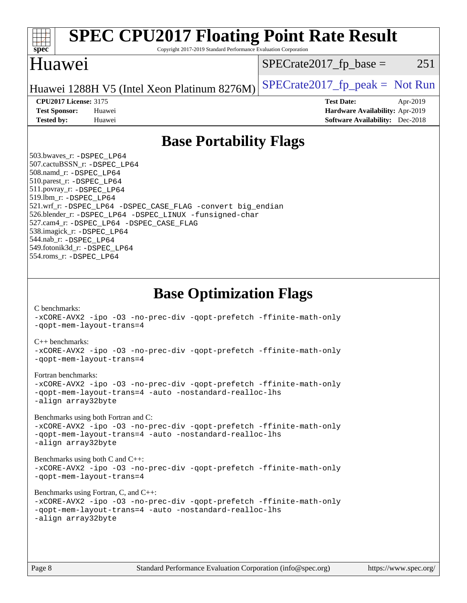| <b>SPEC CPU2017 Floating Point Rate Result</b><br>Copyright 2017-2019 Standard Performance Evaluation Corporation<br>spec <sup>®</sup>                                                                                                                                                                                                                                                                                                                                                                                                                                                                                                                                                                                                                                                                                                                                                                                                                                                            |                                                                                                            |
|---------------------------------------------------------------------------------------------------------------------------------------------------------------------------------------------------------------------------------------------------------------------------------------------------------------------------------------------------------------------------------------------------------------------------------------------------------------------------------------------------------------------------------------------------------------------------------------------------------------------------------------------------------------------------------------------------------------------------------------------------------------------------------------------------------------------------------------------------------------------------------------------------------------------------------------------------------------------------------------------------|------------------------------------------------------------------------------------------------------------|
| Huawei                                                                                                                                                                                                                                                                                                                                                                                                                                                                                                                                                                                                                                                                                                                                                                                                                                                                                                                                                                                            | $SPECrate2017_fp\_base =$<br>251                                                                           |
| Huawei 1288H V5 (Intel Xeon Platinum 8276M)                                                                                                                                                                                                                                                                                                                                                                                                                                                                                                                                                                                                                                                                                                                                                                                                                                                                                                                                                       | $SPECTate2017_fp\_peak = Not Run$                                                                          |
| <b>CPU2017 License: 3175</b><br><b>Test Sponsor:</b><br>Huawei<br><b>Tested by:</b><br>Huawei                                                                                                                                                                                                                                                                                                                                                                                                                                                                                                                                                                                                                                                                                                                                                                                                                                                                                                     | <b>Test Date:</b><br>Apr-2019<br>Hardware Availability: Apr-2019<br><b>Software Availability:</b> Dec-2018 |
| <b>Base Portability Flags</b>                                                                                                                                                                                                                                                                                                                                                                                                                                                                                                                                                                                                                                                                                                                                                                                                                                                                                                                                                                     |                                                                                                            |
| 503.bwaves_r: -DSPEC_LP64<br>507.cactuBSSN_r: -DSPEC_LP64<br>508.namd_r: -DSPEC_LP64<br>510.parest_r: -DSPEC_LP64<br>511.povray_r: -DSPEC_LP64<br>519.1bm_r: - DSPEC LP64<br>521.wrf_r: -DSPEC_LP64 -DSPEC_CASE_FLAG -convert big_endian<br>526.blender_r: -DSPEC_LP64 -DSPEC_LINUX -funsigned-char<br>527.cam4_r: -DSPEC_LP64 -DSPEC_CASE_FLAG<br>538.imagick_r: -DSPEC_LP64<br>544.nab_r: -DSPEC_LP64<br>549.fotonik3d_r: -DSPEC_LP64<br>554.roms_r: -DSPEC_LP64                                                                                                                                                                                                                                                                                                                                                                                                                                                                                                                                |                                                                                                            |
| <b>Base Optimization Flags</b><br>C benchmarks:<br>-xCORE-AVX2 -ipo -03 -no-prec-div -qopt-prefetch -ffinite-math-only<br>-gopt-mem-layout-trans=4<br>$C_{++}$ benchmarks:<br>-xCORE-AVX2 -ipo -03 -no-prec-div -qopt-prefetch -ffinite-math-only<br>-qopt-mem-layout-trans=4<br>Fortran benchmarks:<br>-xCORE-AVX2 -ipo -03 -no-prec-div -qopt-prefetch -ffinite-math-only<br>-qopt-mem-layout-trans=4 -auto -nostandard-realloc-lhs<br>-align array32byte<br>Benchmarks using both Fortran and C:<br>-xCORE-AVX2 -ipo -03 -no-prec-div -qopt-prefetch -ffinite-math-only<br>-qopt-mem-layout-trans=4 -auto -nostandard-realloc-lhs<br>-align array32byte<br>Benchmarks using both C and C++:<br>-xCORE-AVX2 -ipo -03 -no-prec-div -qopt-prefetch -ffinite-math-only<br>-qopt-mem-layout-trans=4<br>Benchmarks using Fortran, C, and C++:<br>-xCORE-AVX2 -ipo -03 -no-prec-div -qopt-prefetch -ffinite-math-only<br>-qopt-mem-layout-trans=4 -auto -nostandard-realloc-lhs<br>-align array32byte |                                                                                                            |
| Standard Performance Evaluation Corporation (info@spec.org)<br>Page 8                                                                                                                                                                                                                                                                                                                                                                                                                                                                                                                                                                                                                                                                                                                                                                                                                                                                                                                             | https://www.spec.org/                                                                                      |